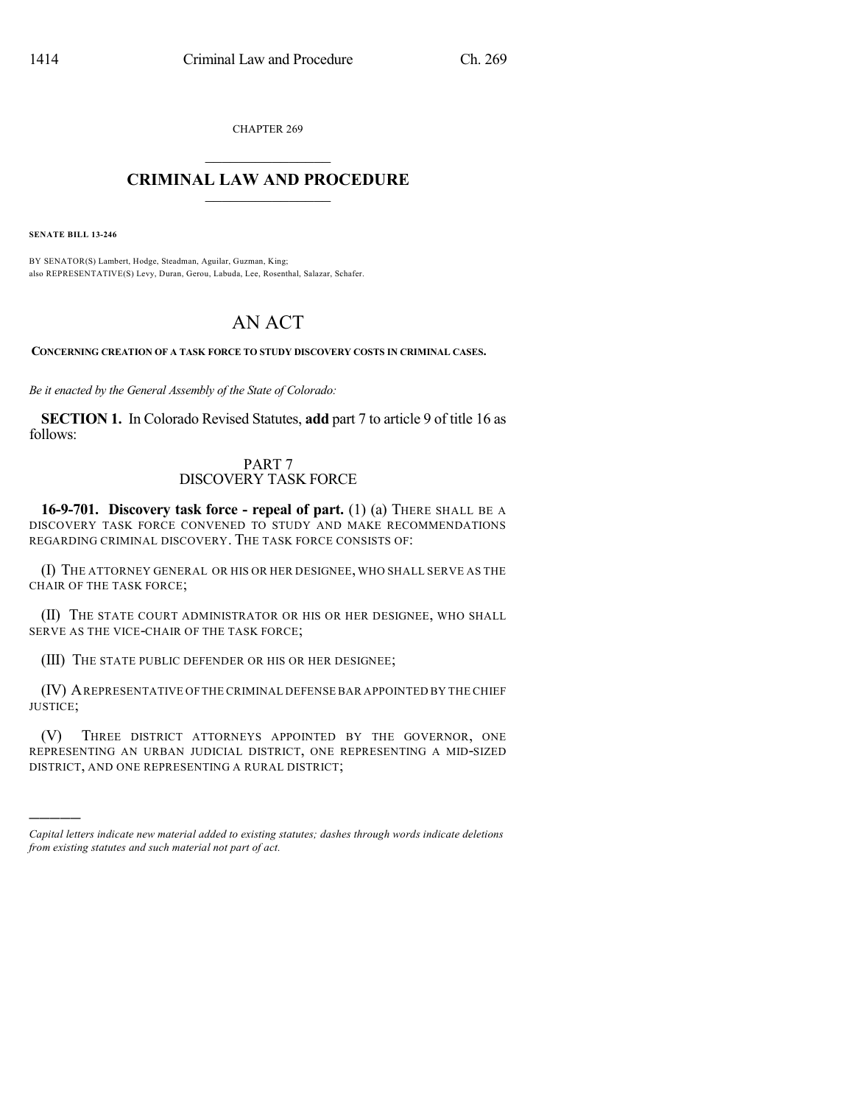CHAPTER 269

## $\mathcal{L}_\text{max}$  . The set of the set of the set of the set of the set of the set of the set of the set of the set of the set of the set of the set of the set of the set of the set of the set of the set of the set of the set **CRIMINAL LAW AND PROCEDURE**  $\frac{1}{2}$  ,  $\frac{1}{2}$  ,  $\frac{1}{2}$  ,  $\frac{1}{2}$  ,  $\frac{1}{2}$  ,  $\frac{1}{2}$  ,  $\frac{1}{2}$

**SENATE BILL 13-246**

)))))

BY SENATOR(S) Lambert, Hodge, Steadman, Aguilar, Guzman, King; also REPRESENTATIVE(S) Levy, Duran, Gerou, Labuda, Lee, Rosenthal, Salazar, Schafer.

## AN ACT

**CONCERNING CREATION OF A TASK FORCE TO STUDY DISCOVERY COSTS IN CRIMINAL CASES.**

*Be it enacted by the General Assembly of the State of Colorado:*

**SECTION 1.** In Colorado Revised Statutes, **add** part 7 to article 9 of title 16 as follows:

## PART 7 DISCOVERY TASK FORCE

**16-9-701. Discovery task force - repeal of part.** (1) (a) THERE SHALL BE A DISCOVERY TASK FORCE CONVENED TO STUDY AND MAKE RECOMMENDATIONS REGARDING CRIMINAL DISCOVERY. THE TASK FORCE CONSISTS OF:

(I) THE ATTORNEY GENERAL OR HIS OR HER DESIGNEE, WHO SHALL SERVE AS THE CHAIR OF THE TASK FORCE;

(II) THE STATE COURT ADMINISTRATOR OR HIS OR HER DESIGNEE, WHO SHALL SERVE AS THE VICE-CHAIR OF THE TASK FORCE;

(III) THE STATE PUBLIC DEFENDER OR HIS OR HER DESIGNEE;

(IV) AREPRESENTATIVE OF THE CRIMINAL DEFENSE BAR APPOINTED BY THE CHIEF JUSTICE;

(V) THREE DISTRICT ATTORNEYS APPOINTED BY THE GOVERNOR, ONE REPRESENTING AN URBAN JUDICIAL DISTRICT, ONE REPRESENTING A MID-SIZED DISTRICT, AND ONE REPRESENTING A RURAL DISTRICT;

*Capital letters indicate new material added to existing statutes; dashes through words indicate deletions from existing statutes and such material not part of act.*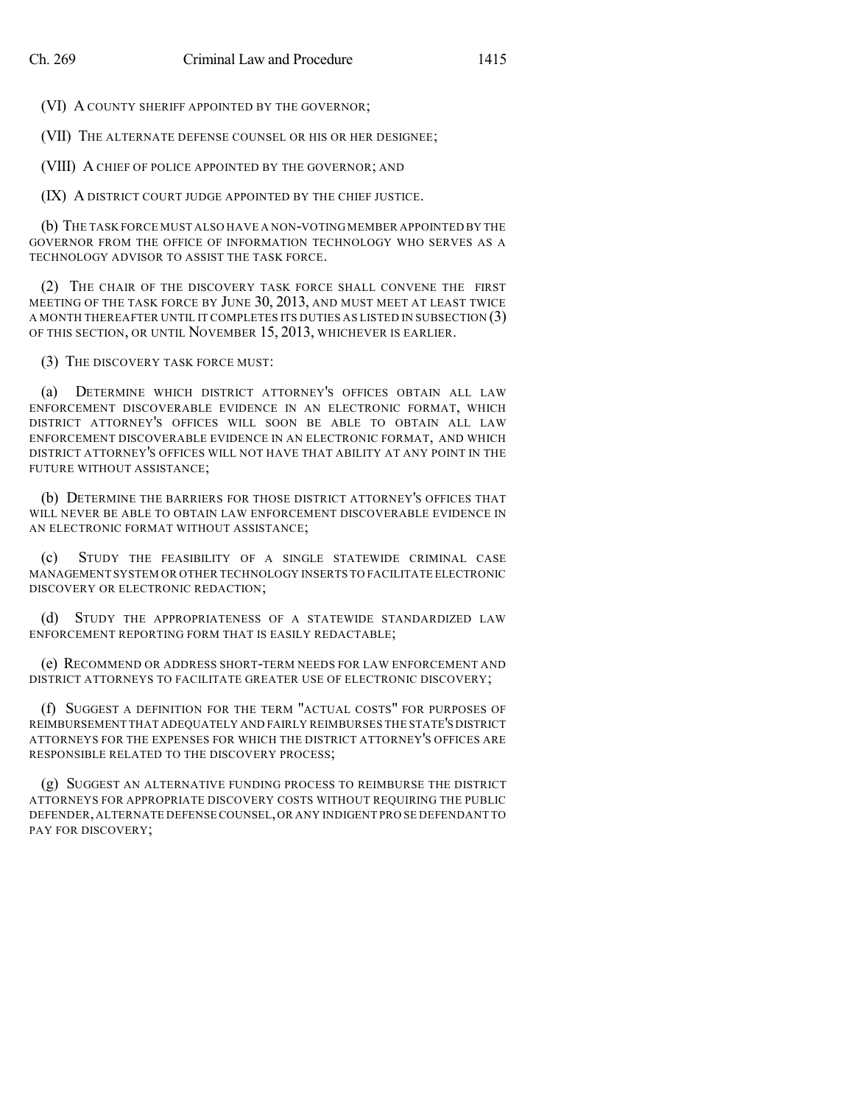(VI) A COUNTY SHERIFF APPOINTED BY THE GOVERNOR;

(VII) THE ALTERNATE DEFENSE COUNSEL OR HIS OR HER DESIGNEE;

(VIII) A CHIEF OF POLICE APPOINTED BY THE GOVERNOR; AND

(IX) A DISTRICT COURT JUDGE APPOINTED BY THE CHIEF JUSTICE.

(b) THE TASK FORCE MUST ALSO HAVE A NON-VOTING MEMBER APPOINTED BY THE GOVERNOR FROM THE OFFICE OF INFORMATION TECHNOLOGY WHO SERVES AS A TECHNOLOGY ADVISOR TO ASSIST THE TASK FORCE.

(2) THE CHAIR OF THE DISCOVERY TASK FORCE SHALL CONVENE THE FIRST MEETING OF THE TASK FORCE BY JUNE 30, 2013, AND MUST MEET AT LEAST TWICE A MONTH THEREAFTER UNTIL IT COMPLETES ITS DUTIES AS LISTED IN SUBSECTION (3) OF THIS SECTION, OR UNTIL NOVEMBER 15, 2013, WHICHEVER IS EARLIER.

(3) THE DISCOVERY TASK FORCE MUST:

(a) DETERMINE WHICH DISTRICT ATTORNEY'S OFFICES OBTAIN ALL LAW ENFORCEMENT DISCOVERABLE EVIDENCE IN AN ELECTRONIC FORMAT, WHICH DISTRICT ATTORNEY'S OFFICES WILL SOON BE ABLE TO OBTAIN ALL LAW ENFORCEMENT DISCOVERABLE EVIDENCE IN AN ELECTRONIC FORMAT, AND WHICH DISTRICT ATTORNEY'S OFFICES WILL NOT HAVE THAT ABILITY AT ANY POINT IN THE FUTURE WITHOUT ASSISTANCE;

(b) DETERMINE THE BARRIERS FOR THOSE DISTRICT ATTORNEY'S OFFICES THAT WILL NEVER BE ABLE TO OBTAIN LAW ENFORCEMENT DISCOVERABLE EVIDENCE IN AN ELECTRONIC FORMAT WITHOUT ASSISTANCE;

(c) STUDY THE FEASIBILITY OF A SINGLE STATEWIDE CRIMINAL CASE MANAGEMENT SYSTEM OR OTHER TECHNOLOGY INSERTS TO FACILITATE ELECTRONIC DISCOVERY OR ELECTRONIC REDACTION;

(d) STUDY THE APPROPRIATENESS OF A STATEWIDE STANDARDIZED LAW ENFORCEMENT REPORTING FORM THAT IS EASILY REDACTABLE;

(e) RECOMMEND OR ADDRESS SHORT-TERM NEEDS FOR LAW ENFORCEMENT AND DISTRICT ATTORNEYS TO FACILITATE GREATER USE OF ELECTRONIC DISCOVERY;

(f) SUGGEST A DEFINITION FOR THE TERM "ACTUAL COSTS" FOR PURPOSES OF REIMBURSEMENT THAT ADEQUATELY AND FAIRLY REIMBURSES THE STATE'S DISTRICT ATTORNEYS FOR THE EXPENSES FOR WHICH THE DISTRICT ATTORNEY'S OFFICES ARE RESPONSIBLE RELATED TO THE DISCOVERY PROCESS;

(g) SUGGEST AN ALTERNATIVE FUNDING PROCESS TO REIMBURSE THE DISTRICT ATTORNEYS FOR APPROPRIATE DISCOVERY COSTS WITHOUT REQUIRING THE PUBLIC DEFENDER,ALTERNATE DEFENSECOUNSEL,OR ANY INDIGENT PRO SE DEFENDANT TO PAY FOR DISCOVERY;